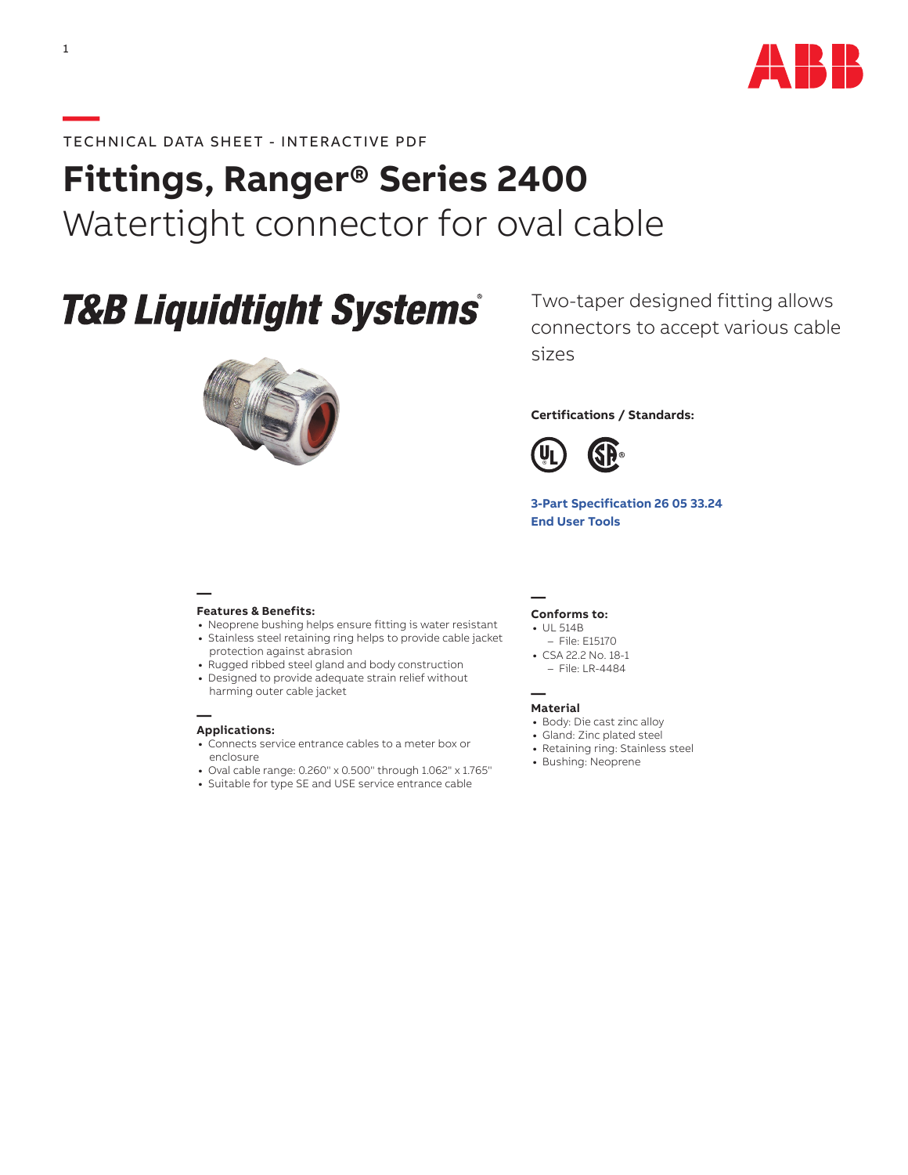

## **—**TECHNICAL DATA SHEET - INTERACTIVE PDF

# **Fittings, Ranger® Series 2400** Watertight connector for oval cable

# **T&B Liquidtight Systems®**



Two-taper designed fitting allows connectors to accept various cable sizes

### **Certifications / Standards:**



**[3-Part Specification](http://www-public.tnb.com/ps/pubint/specguide.cgi) 26 05 33.24 [End User Tools](http://tnb.abb.com/pub/en/node/258)**

#### **— Features & Benefits:**

- **•** Neoprene bushing helps ensure fitting is water resistant **•** Stainless steel retaining ring helps to provide cable jacket
- protection against abrasion
- **•** Rugged ribbed steel gland and body construction
- **•** Designed to provide adequate strain relief without harming outer cable jacket

#### **— Applications:**

- **•** Connects service entrance cables to a meter box or enclosure
- **•** Oval cable range: 0.260" x 0.500" through 1.062" x 1.765"
- **•** Suitable for type SE and USE service entrance cable

#### **Conforms to:**

**—**

- **•** UL 514B
- File: E15170 **•** CSA 22.2 No. 18-1
- File: LR-4484

#### **— Material**

- **•** Body: Die cast zinc alloy
- **•** Gland: Zinc plated steel
- **•** Retaining ring: Stainless steel
- **•** Bushing: Neoprene